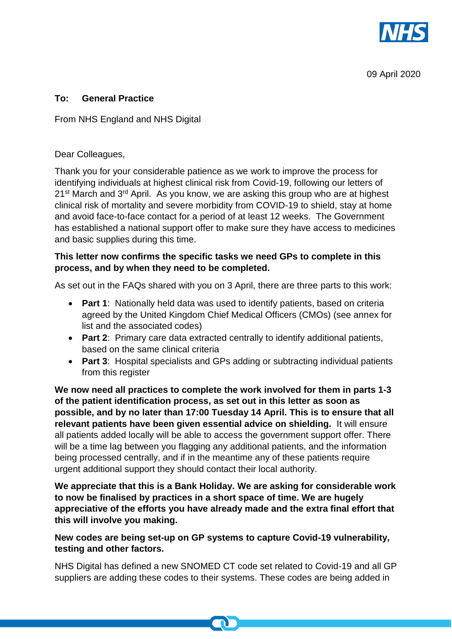

09 April 2020

## **To: General Practice**

From NHS England and NHS Digital

## Dear Colleagues,

Thank you for your considerable patience as we work to improve the process for identifying individuals at highest clinical risk from Covid-19, following our letters of 21<sup>st</sup> March and 3<sup>rd</sup> April. As you know, we are asking this group who are at highest clinical risk of mortality and severe morbidity from COVID-19 to shield, stay at home and avoid face-to-face contact for a period of at least 12 weeks. The Government has established a national support offer to make sure they have access to medicines and basic supplies during this time.

## **This letter now confirms the specific tasks we need GPs to complete in this process, and by when they need to be completed.**

As set out in the FAQs shared with you on 3 April, there are three parts to this work:

- **Part 1**: Nationally held data was used to identify patients, based on criteria agreed by the United Kingdom Chief Medical Officers (CMOs) (see annex for list and the associated codes)
- **Part 2**: Primary care data extracted centrally to identify additional patients, based on the same clinical criteria
- **Part 3**: Hospital specialists and GPs adding or subtracting individual patients from this register

**We now need all practices to complete the work involved for them in parts 1-3 of the patient identification process, as set out in this letter as soon as possible, and by no later than 17:00 Tuesday 14 April. This is to ensure that all relevant patients have been given essential advice on shielding.** It will ensure all patients added locally will be able to access the government support offer. There will be a time lag between you flagging any additional patients, and the information being processed centrally, and if in the meantime any of these patients require urgent additional support they should contact their local authority.

**We appreciate that this is a Bank Holiday. We are asking for considerable work to now be finalised by practices in a short space of time. We are hugely appreciative of the efforts you have already made and the extra final effort that this will involve you making.** 

## **New codes are being set-up on GP systems to capture Covid-19 vulnerability, testing and other factors.**

NHS Digital has defined a new SNOMED CT code set related to Covid-19 and all GP suppliers are adding these codes to their systems. These codes are being added in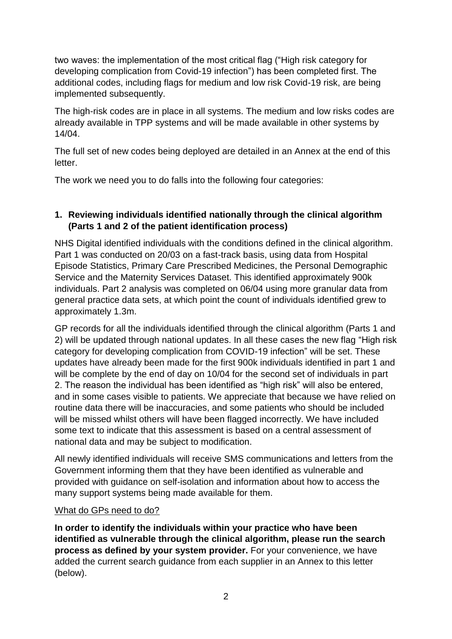two waves: the implementation of the most critical flag ("High risk category for developing complication from Covid-19 infection") has been completed first. The additional codes, including flags for medium and low risk Covid-19 risk, are being implemented subsequently.

The high-risk codes are in place in all systems. The medium and low risks codes are already available in TPP systems and will be made available in other systems by 14/04.

The full set of new codes being deployed are detailed in an Annex at the end of this letter.

The work we need you to do falls into the following four categories:

# **1. Reviewing individuals identified nationally through the clinical algorithm (Parts 1 and 2 of the patient identification process)**

NHS Digital identified individuals with the conditions defined in the clinical algorithm. Part 1 was conducted on 20/03 on a fast-track basis, using data from Hospital Episode Statistics, Primary Care Prescribed Medicines, the Personal Demographic Service and the Maternity Services Dataset. This identified approximately 900k individuals. Part 2 analysis was completed on 06/04 using more granular data from general practice data sets, at which point the count of individuals identified grew to approximately 1.3m.

GP records for all the individuals identified through the clinical algorithm (Parts 1 and 2) will be updated through national updates. In all these cases the new flag "High risk category for developing complication from COVID-19 infection" will be set. These updates have already been made for the first 900k individuals identified in part 1 and will be complete by the end of day on 10/04 for the second set of individuals in part 2. The reason the individual has been identified as "high risk" will also be entered, and in some cases visible to patients. We appreciate that because we have relied on routine data there will be inaccuracies, and some patients who should be included will be missed whilst others will have been flagged incorrectly. We have included some text to indicate that this assessment is based on a central assessment of national data and may be subject to modification.

All newly identified individuals will receive SMS communications and letters from the Government informing them that they have been identified as vulnerable and provided with guidance on self-isolation and information about how to access the many support systems being made available for them.

### What do GPs need to do?

**In order to identify the individuals within your practice who have been identified as vulnerable through the clinical algorithm, please run the search process as defined by your system provider.** For your convenience, we have added the current search guidance from each supplier in an Annex to this letter (below).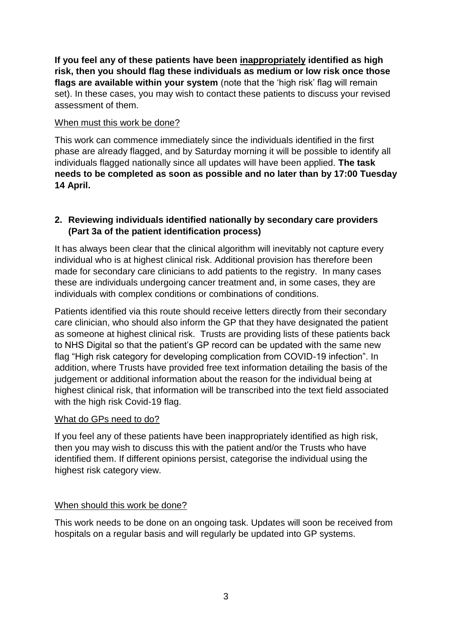**If you feel any of these patients have been inappropriately identified as high risk, then you should flag these individuals as medium or low risk once those flags are available within your system** (note that the 'high risk' flag will remain set). In these cases, you may wish to contact these patients to discuss your revised assessment of them.

## When must this work be done?

This work can commence immediately since the individuals identified in the first phase are already flagged, and by Saturday morning it will be possible to identify all individuals flagged nationally since all updates will have been applied. **The task needs to be completed as soon as possible and no later than by 17:00 Tuesday 14 April.**

# **2. Reviewing individuals identified nationally by secondary care providers (Part 3a of the patient identification process)**

It has always been clear that the clinical algorithm will inevitably not capture every individual who is at highest clinical risk. Additional provision has therefore been made for secondary care clinicians to add patients to the registry. In many cases these are individuals undergoing cancer treatment and, in some cases, they are individuals with complex conditions or combinations of conditions.

Patients identified via this route should receive letters directly from their secondary care clinician, who should also inform the GP that they have designated the patient as someone at highest clinical risk. Trusts are providing lists of these patients back to NHS Digital so that the patient's GP record can be updated with the same new flag "High risk category for developing complication from COVID-19 infection". In addition, where Trusts have provided free text information detailing the basis of the judgement or additional information about the reason for the individual being at highest clinical risk, that information will be transcribed into the text field associated with the high risk Covid-19 flag.

# What do GPs need to do?

If you feel any of these patients have been inappropriately identified as high risk, then you may wish to discuss this with the patient and/or the Trusts who have identified them. If different opinions persist, categorise the individual using the highest risk category view.

# When should this work be done?

This work needs to be done on an ongoing task. Updates will soon be received from hospitals on a regular basis and will regularly be updated into GP systems.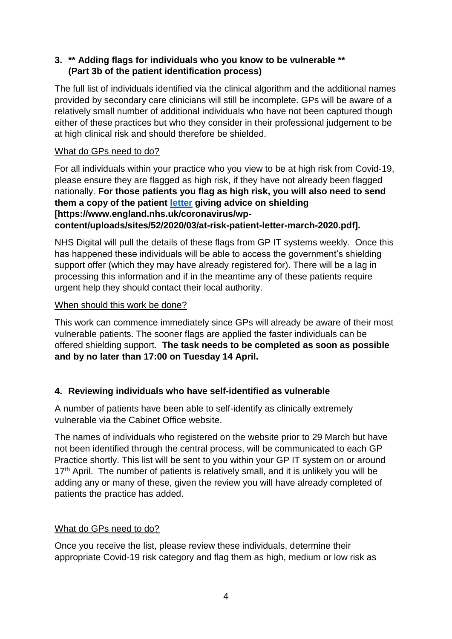# **3. \*\* Adding flags for individuals who you know to be vulnerable \*\* (Part 3b of the patient identification process)**

The full list of individuals identified via the clinical algorithm and the additional names provided by secondary care clinicians will still be incomplete. GPs will be aware of a relatively small number of additional individuals who have not been captured though either of these practices but who they consider in their professional judgement to be at high clinical risk and should therefore be shielded.

## What do GPs need to do?

For all individuals within your practice who you view to be at high risk from Covid-19, please ensure they are flagged as high risk, if they have not already been flagged nationally. **For those patients you flag as high risk, you will also need to send them a copy of the patient [letter](https://www.england.nhs.uk/coronavirus/wp-content/uploads/sites/52/2020/03/at-risk-patient-letter-march-2020.pdf) giving advice on shielding [https://www.england.nhs.uk/coronavirus/wpcontent/uploads/sites/52/2020/03/at-risk-patient-letter-march-2020.pdf].**

NHS Digital will pull the details of these flags from GP IT systems weekly. Once this has happened these individuals will be able to access the government's shielding support offer (which they may have already registered for). There will be a lag in processing this information and if in the meantime any of these patients require urgent help they should contact their local authority.

## When should this work be done?

This work can commence immediately since GPs will already be aware of their most vulnerable patients. The sooner flags are applied the faster individuals can be offered shielding support. **The task needs to be completed as soon as possible and by no later than 17:00 on Tuesday 14 April.**

# **4. Reviewing individuals who have self-identified as vulnerable**

A number of patients have been able to self-identify as clinically extremely vulnerable via the Cabinet Office website.

The names of individuals who registered on the website prior to 29 March but have not been identified through the central process, will be communicated to each GP Practice shortly. This list will be sent to you within your GP IT system on or around  $17<sup>th</sup>$  April. The number of patients is relatively small, and it is unlikely you will be adding any or many of these, given the review you will have already completed of patients the practice has added.

# What do GPs need to do?

Once you receive the list, please review these individuals, determine their appropriate Covid-19 risk category and flag them as high, medium or low risk as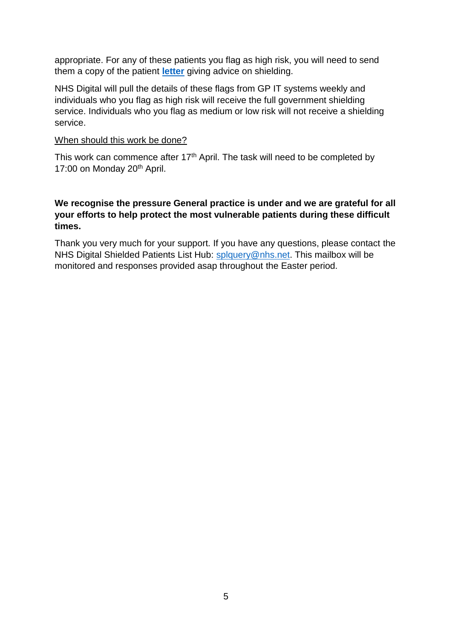appropriate. For any of these patients you flag as high risk, you will need to send them a copy of the patient **[letter](https://www.england.nhs.uk/coronavirus/wp-content/uploads/sites/52/2020/03/at-risk-patient-letter-march-2020.pdf)** giving advice on shielding.

NHS Digital will pull the details of these flags from GP IT systems weekly and individuals who you flag as high risk will receive the full government shielding service. Individuals who you flag as medium or low risk will not receive a shielding service.

#### When should this work be done?

This work can commence after 17<sup>th</sup> April. The task will need to be completed by 17:00 on Monday 20<sup>th</sup> April.

## **We recognise the pressure General practice is under and we are grateful for all your efforts to help protect the most vulnerable patients during these difficult times.**

Thank you very much for your support. If you have any questions, please contact the NHS Digital Shielded Patients List Hub: [splquery@nhs.net.](mailto:splquery@nhs.net) This mailbox will be monitored and responses provided asap throughout the Easter period.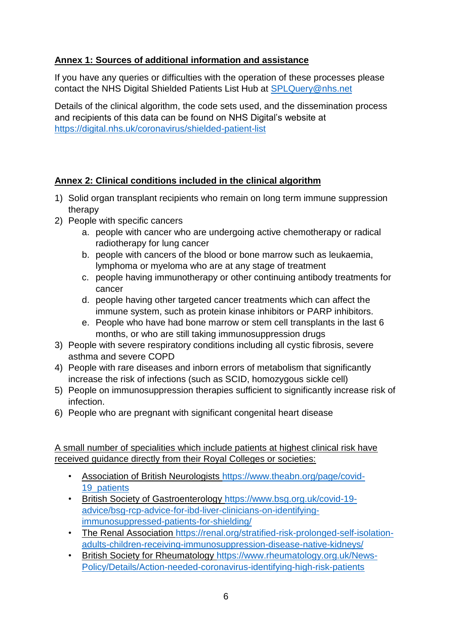# **Annex 1: Sources of additional information and assistance**

If you have any queries or difficulties with the operation of these processes please contact the NHS Digital Shielded Patients List Hub at [SPLQuery@nhs.net](mailto:SPLQuery@nhs.net)

Details of the clinical algorithm, the code sets used, and the dissemination process and recipients of this data can be found on NHS Digital's website at <https://digital.nhs.uk/coronavirus/shielded-patient-list>

# **Annex 2: Clinical conditions included in the clinical algorithm**

- 1) Solid organ transplant recipients who remain on long term immune suppression therapy
- 2) People with specific cancers
	- a. people with cancer who are undergoing active chemotherapy or radical radiotherapy for lung cancer
	- b. people with cancers of the blood or bone marrow such as leukaemia, lymphoma or myeloma who are at any stage of treatment
	- c. people having immunotherapy or other continuing antibody treatments for cancer
	- d. people having other targeted cancer treatments which can affect the immune system, such as protein kinase inhibitors or PARP inhibitors.
	- e. People who have had bone marrow or stem cell transplants in the last 6 months, or who are still taking immunosuppression drugs
- 3) People with severe respiratory conditions including all cystic fibrosis, severe asthma and severe COPD
- 4) People with rare diseases and inborn errors of metabolism that significantly increase the risk of infections (such as SCID, homozygous sickle cell)
- 5) People on immunosuppression therapies sufficient to significantly increase risk of infection.
- 6) People who are pregnant with significant congenital heart disease

# A small number of specialities which include patients at highest clinical risk have received guidance directly from their Royal Colleges or societies:

- Association of British Neurologists [https://www.theabn.org/page/covid-](https://www.theabn.org/page/covid-19_patients)19 patients
- British Society of Gastroenterology [https://www.bsg.org.uk/covid-19](https://www.bsg.org.uk/covid-19-advice/bsg-rcp-advice-for-ibd-liver-clinicians-on-identifying-immunosuppressed-patients-for-shielding/) [advice/bsg-rcp-advice-for-ibd-liver-clinicians-on-identifying](https://www.bsg.org.uk/covid-19-advice/bsg-rcp-advice-for-ibd-liver-clinicians-on-identifying-immunosuppressed-patients-for-shielding/)[immunosuppressed-patients-for-shielding/](https://www.bsg.org.uk/covid-19-advice/bsg-rcp-advice-for-ibd-liver-clinicians-on-identifying-immunosuppressed-patients-for-shielding/)
- The Renal Association [https://renal.org/stratified-risk-prolonged-self-isolation](https://renal.org/stratified-risk-prolonged-self-isolation-adults-children-receiving-immunosuppression-disease-native-kidneys/)[adults-children-receiving-immunosuppression-disease-native-kidneys/](https://renal.org/stratified-risk-prolonged-self-isolation-adults-children-receiving-immunosuppression-disease-native-kidneys/)
- British Society for Rheumatology [https://www.rheumatology.org.uk/News-](https://www.rheumatology.org.uk/News-Policy/Details/Action-needed-coronavirus-identifying-high-risk-patients)[Policy/Details/Action-needed-coronavirus-identifying-high-risk-patients](https://www.rheumatology.org.uk/News-Policy/Details/Action-needed-coronavirus-identifying-high-risk-patients)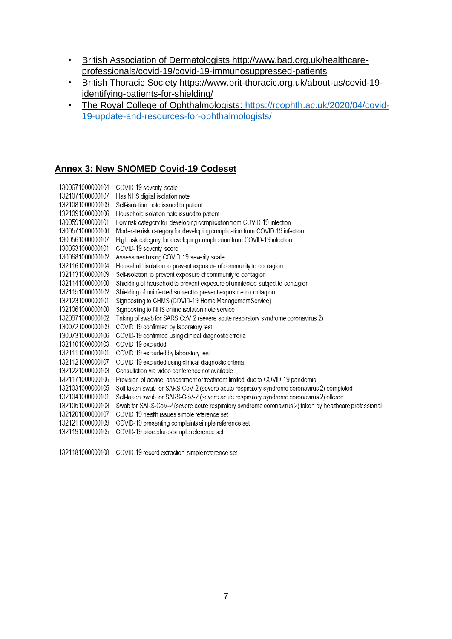- British Association of Dermatologists http://www.bad.org.uk/healthcareprofessionals/covid-19/covid-19-immunosuppressed-patients
- British Thoracic Society https://www.brit-thoracic.org.uk/about-us/covid-19 identifying-patients-for-shielding/
- The Royal College of Ophthalmologists: [https://rcophth.ac.uk/2020/04/covid-](https://rcophth.ac.uk/2020/04/covid-19-update-and-resources-for-ophthalmologists/)[19-update-and-resources-for-ophthalmologists/](https://rcophth.ac.uk/2020/04/covid-19-update-and-resources-for-ophthalmologists/)

## **Annex 3: New SNOMED Covid-19 Codeset**

| COVID-19 severity scale                                                                                |
|--------------------------------------------------------------------------------------------------------|
| Has NHS digital isolation note                                                                         |
| Self-isolation note issued to patient                                                                  |
| Household isolation note issued to patient                                                             |
| Low risk category for developing complication from COVID-19 infection                                  |
| Moderate risk category for developing complication from COVID-19 infection                             |
| High risk category for developing complication from COVID-19 infection                                 |
| COVID-19 severity score                                                                                |
| Assessment using COVID-19 severity scale                                                               |
| Household isolation to prevent exposure of community to contagion                                      |
| Self-isolation to prevent exposure of community to contagion                                           |
| Shielding of household to prevent exposure of uninfected subject to contagion                          |
| Shielding of uninfected subject to prevent exposure to contagion                                       |
| Signposting to CHMS (COVID-19 Home Management Service)                                                 |
| Signposting to NHS online isolation note service                                                       |
| Taking of swab for SARS-CoV-2 (severe acute respiratory syndrome coronavirus 2)                        |
| COVID-19 confirmed by laboratory test                                                                  |
| COVID-19 confirmed using clinical diagnostic criteria                                                  |
| COVID-19 excluded                                                                                      |
| COVID-19 excluded by laboratory test                                                                   |
| COVID-19 excluded using clinical diagnostic criteria                                                   |
| Consultation via video conference not available                                                        |
| Provision of advice, assessment or treatment limited due to COVID-19 pandemic                          |
| Self-taken swab for SARS-CoV-2 (severe acute respiratory syndrome coronavirus 2) completed             |
| Self-taken swab for SARS-CoV-2 (severe acute respiratory syndrome coronavirus 2) offered               |
| Swab for SARS-CoV-2 (severe acute respiratory syndrome coronavirus 2) taken by healthcare professional |
| COVID-19 health issues simple reference set                                                            |
| COVID-19 presenting complaints simple reference set                                                    |
| COVID-19 procedures simple reference set                                                               |
|                                                                                                        |
|                                                                                                        |

1321181000000108 COVID-19 record extraction simple reference set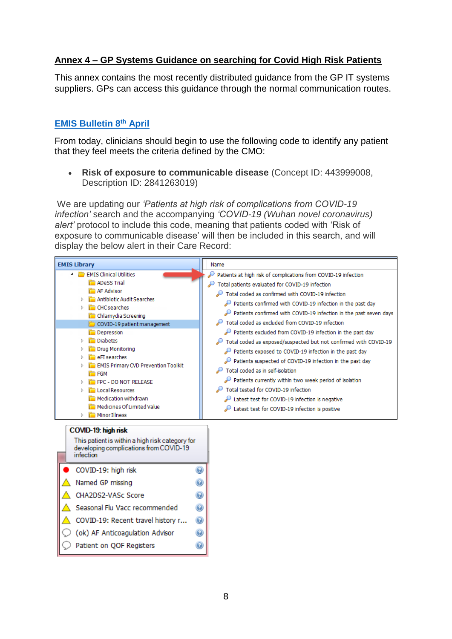# **Annex 4 – GP Systems Guidance on searching for Covid High Risk Patients**

This annex contains the most recently distributed guidance from the GP IT systems suppliers. GPs can access this guidance through the normal communication routes.

# **[EMIS Bulletin 8](https://www.emisnow.com/csm?id=kb_article_view&sys_kb_id=7628df651bc810507937a8a4bd4bcb72)th April**

From today, clinicians should begin to use the following code to identify any patient that they feel meets the criteria defined by the CMO:

• **Risk of exposure to communicable disease** (Concept ID: 443999008, Description ID: 2841263019)

We are updating our *'Patients at high risk of complications from COVID-19 infection'* search and the accompanying *'COVID-19 (Wuhan novel coronavirus) alert'* protocol to include this code, meaning that patients coded with 'Risk of exposure to communicable disease' will then be included in this search, and will display the below alert in their Care Record:

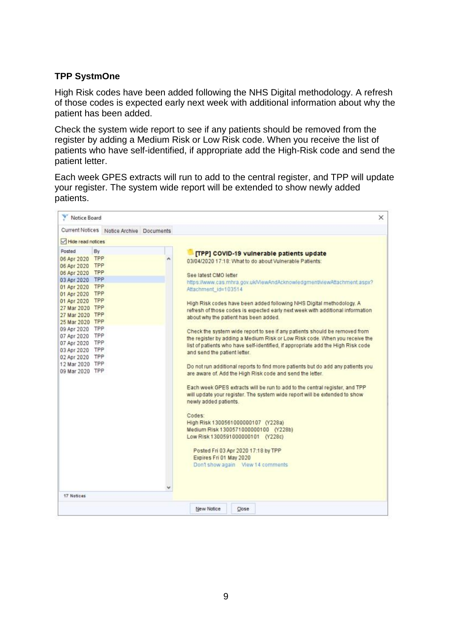## **TPP SystmOne**

High Risk codes have been added following the NHS Digital methodology. A refresh of those codes is expected early next week with additional information about why the patient has been added.

Check the system wide report to see if any patients should be removed from the register by adding a Medium Risk or Low Risk code. When you receive the list of patients who have self-identified, if appropriate add the High-Risk code and send the patient letter.

Each week GPES extracts will run to add to the central register, and TPP will update your register. The system wide report will be extended to show newly added patients.

| Notice Board                                                                                                                                                                                                                                                                                                                              |    |                                          |                                                                                                                                                                                                                                                                                                                                                                                                                                                                                                                                                                                                                                                                                                                                                                                                                                                                                                                                                                                                                                                                                                                                                                                                                                                                                               | × |
|-------------------------------------------------------------------------------------------------------------------------------------------------------------------------------------------------------------------------------------------------------------------------------------------------------------------------------------------|----|------------------------------------------|-----------------------------------------------------------------------------------------------------------------------------------------------------------------------------------------------------------------------------------------------------------------------------------------------------------------------------------------------------------------------------------------------------------------------------------------------------------------------------------------------------------------------------------------------------------------------------------------------------------------------------------------------------------------------------------------------------------------------------------------------------------------------------------------------------------------------------------------------------------------------------------------------------------------------------------------------------------------------------------------------------------------------------------------------------------------------------------------------------------------------------------------------------------------------------------------------------------------------------------------------------------------------------------------------|---|
|                                                                                                                                                                                                                                                                                                                                           |    | Current Notices Notice Archive Documents |                                                                                                                                                                                                                                                                                                                                                                                                                                                                                                                                                                                                                                                                                                                                                                                                                                                                                                                                                                                                                                                                                                                                                                                                                                                                                               |   |
| Hide read notices                                                                                                                                                                                                                                                                                                                         |    |                                          |                                                                                                                                                                                                                                                                                                                                                                                                                                                                                                                                                                                                                                                                                                                                                                                                                                                                                                                                                                                                                                                                                                                                                                                                                                                                                               |   |
| Posted<br>06 Apr 2020 TPP<br>06 Apr 2020 TPP<br>06 Apr 2020 TPP<br>03 Apr 2020 TPP<br>01 Apr 2020 TPP<br>01 Apr 2020 TPP<br>01 Apr 2020 TPP<br>27 Mar 2020 TPP<br>27 Mar 2020 TPP<br>25 Mar 2020 TPP<br>09 Apr 2020 TPP<br>07 Apr 2020 TPP<br>07 Apr 2020 TPP<br>03 Apr 2020 TPP<br>02 Apr 2020 TPP<br>12 Mar 2020 TPP<br>09 Mar 2020 TPP | By |                                          | [TPP] COVID-19 vulnerable patients update<br>03/04/2020 17:18: What to do about Vulnerable Patients:<br>See latest CMO letter<br>https://www.cas.mhra.gov.uk/ViewAndAcknowledgment/viewAtlachment.aspx?<br>Attachment id=103514<br>High Risk codes have been added following NHS Digital methodology. A<br>refresh of those codes is expected early next week with additional information<br>about why the patient has been added.<br>Check the system wide report to see if any patients should be removed from<br>the register by adding a Medium Risk or Low Risk code. When you receive the<br>list of patients who have self-identified, if appropriate add the High Risk code<br>and send the patient letter.<br>Do not run additional reports to find more patients but do add any patients you<br>are aware of, Add the High Risk code and send the letter.<br>Each week GPES extracts will be run to add to the central register, and TPP<br>will update your register. The system wide report will be extended to show<br>newly added patients.<br>Codes:<br>High Risk 1300561000000107 (Y228a)<br>Medium Risk 1300571000000100 (Y228b)<br>Low Risk 1300591000000101 (Y228c)<br>Posted Fri 03 Apr 2020 17:18 by TPP<br>Expires Fri 01 May 2020<br>Don't show again View 14 comments |   |
| 17 Notices                                                                                                                                                                                                                                                                                                                                |    |                                          |                                                                                                                                                                                                                                                                                                                                                                                                                                                                                                                                                                                                                                                                                                                                                                                                                                                                                                                                                                                                                                                                                                                                                                                                                                                                                               |   |
|                                                                                                                                                                                                                                                                                                                                           |    |                                          | New Notice<br>Close                                                                                                                                                                                                                                                                                                                                                                                                                                                                                                                                                                                                                                                                                                                                                                                                                                                                                                                                                                                                                                                                                                                                                                                                                                                                           |   |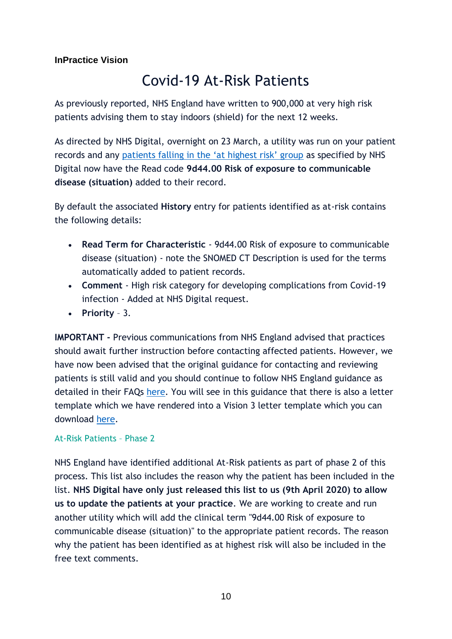# **InPractice Vision**

# Covid-19 At-Risk Patients

As previously reported, NHS England have written to 900,000 at very high risk patients advising them to stay indoors (shield) for the next 12 weeks.

As directed by NHS Digital, overnight on 23 March, a utility was run on your patient records and any [patients falling in the 'at highest risk' group](https://www.england.nhs.uk/coronavirus/wp-content/uploads/sites/52/2020/03/200321_GP-letter_Annex-2_FINAL_2.pdf) as specified by NHS Digital now have the Read code **9d44.00 Risk of exposure to communicable disease (situation)** added to their record.

By default the associated **History** entry for patients identified as at-risk contains the following details:

- **Read Term for Characteristic** 9d44.00 Risk of exposure to communicable disease (situation) - note the SNOMED CT Description is used for the terms automatically added to patient records.
- **Comment** High risk category for developing complications from Covid-19 infection - Added at NHS Digital request.
- **Priority** 3.

**IMPORTANT -** Previous communications from NHS England advised that practices should await further instruction before contacting affected patients. However, we have now been advised that the original guidance for contacting and reviewing patients is still valid and you should continue to follow NHS England guidance as detailed in their FAQs [here.](https://protect-eu.mimecast.com/s/CAclC0X1c2QBOoTwdr5z?domain=cas.mhra.gov.uk) You will see in this guidance that there is also a letter template which we have rendered into a Vision 3 letter template which you can download [here.](https://info.visionhealth.co.uk/hubfs/Vision%20Letters/COVID-at-risk-patient-letter-april-2020.docx)

# At-Risk Patients – Phase 2

NHS England have identified additional At-Risk patients as part of phase 2 of this process. This list also includes the reason why the patient has been included in the list. **NHS Digital have only just released this list to us (9th April 2020) to allow us to update the patients at your practice**. We are working to create and run another utility which will add the clinical term "9d44.00 Risk of exposure to communicable disease (situation)" to the appropriate patient records. The reason why the patient has been identified as at highest risk will also be included in the free text comments.